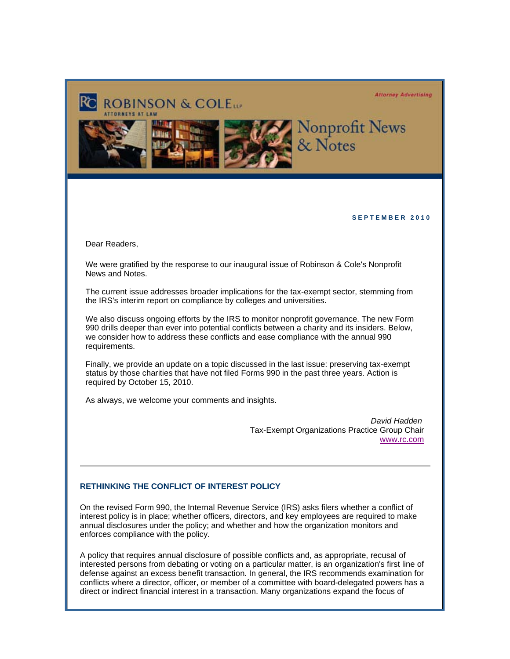#### **Attorney Advertising**



#### **S E P T E M B E R 2 0 1 0**

Dear Readers,

We were gratified by the response to our inaugural issue of Robinson & Cole's Nonprofit News and Notes.

The current issue addresses broader implications for the tax-exempt sector, stemming from the IRS's interim report on compliance by colleges and universities.

We also discuss ongoing efforts by the IRS to monitor nonprofit governance. The new Form 990 drills deeper than ever into potential conflicts between a charity and its insiders. Below, we consider how to address these conflicts and ease compliance with the annual 990 requirements.

Finally, we provide an update on a topic discussed in the last issue: preserving tax-exempt status by those charities that have not filed Forms 990 in the past three years. Action is required by October 15, 2010.

As always, we welcome your comments and insights.

*David Hadden* Tax-Exempt Organizations Practice Group Chair www.rc.com

# **RETHINKING THE CONFLICT OF INTEREST POLICY**

On the revised Form 990, the Internal Revenue Service (IRS) asks filers whether a conflict of interest policy is in place; whether officers, directors, and key employees are required to make annual disclosures under the policy; and whether and how the organization monitors and enforces compliance with the policy.

A policy that requires annual disclosure of possible conflicts and, as appropriate, recusal of interested persons from debating or voting on a particular matter, is an organization's first line of defense against an excess benefit transaction. In general, the IRS recommends examination for conflicts where a director, officer, or member of a committee with board-delegated powers has a direct or indirect financial interest in a transaction. Many organizations expand the focus of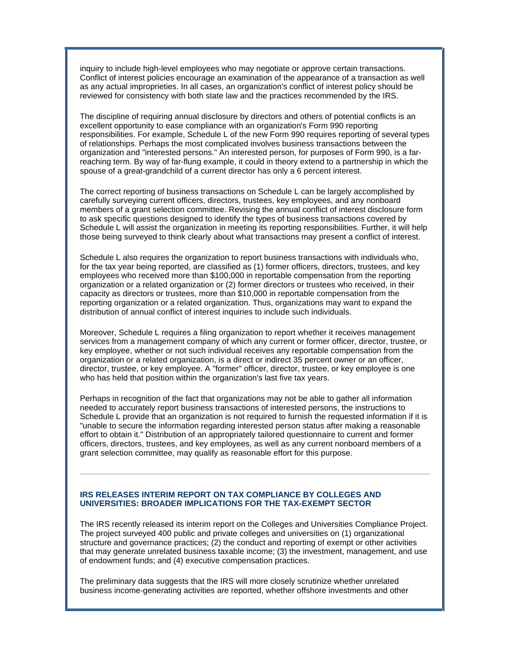inquiry to include high-level employees who may negotiate or approve certain transactions. Conflict of interest policies encourage an examination of the appearance of a transaction as well as any actual improprieties. In all cases, an organization's conflict of interest policy should be reviewed for consistency with both state law and the practices recommended by the IRS.

The discipline of requiring annual disclosure by directors and others of potential conflicts is an excellent opportunity to ease compliance with an organization's Form 990 reporting responsibilities. For example, Schedule L of the new Form 990 requires reporting of several types of relationships. Perhaps the most complicated involves business transactions between the organization and "interested persons." An interested person, for purposes of Form 990, is a farreaching term. By way of far-flung example, it could in theory extend to a partnership in which the spouse of a great-grandchild of a current director has only a 6 percent interest.

The correct reporting of business transactions on Schedule L can be largely accomplished by carefully surveying current officers, directors, trustees, key employees, and any nonboard members of a grant selection committee. Revising the annual conflict of interest disclosure form to ask specific questions designed to identify the types of business transactions covered by Schedule L will assist the organization in meeting its reporting responsibilities. Further, it will help those being surveyed to think clearly about what transactions may present a conflict of interest.

Schedule L also requires the organization to report business transactions with individuals who, for the tax year being reported, are classified as (1) former officers, directors, trustees, and key employees who received more than \$100,000 in reportable compensation from the reporting organization or a related organization or (2) former directors or trustees who received, in their capacity as directors or trustees, more than \$10,000 in reportable compensation from the reporting organization or a related organization. Thus, organizations may want to expand the distribution of annual conflict of interest inquiries to include such individuals.

Moreover, Schedule L requires a filing organization to report whether it receives management services from a management company of which any current or former officer, director, trustee, or key employee, whether or not such individual receives any reportable compensation from the organization or a related organization, is a direct or indirect 35 percent owner or an officer, director, trustee, or key employee. A "former" officer, director, trustee, or key employee is one who has held that position within the organization's last five tax years.

Perhaps in recognition of the fact that organizations may not be able to gather all information needed to accurately report business transactions of interested persons, the instructions to Schedule L provide that an organization is not required to furnish the requested information if it is "unable to secure the information regarding interested person status after making a reasonable effort to obtain it." Distribution of an appropriately tailored questionnaire to current and former officers, directors, trustees, and key employees, as well as any current nonboard members of a grant selection committee, may qualify as reasonable effort for this purpose.

# **IRS RELEASES INTERIM REPORT ON TAX COMPLIANCE BY COLLEGES AND UNIVERSITIES: BROADER IMPLICATIONS FOR THE TAX-EXEMPT SECTOR**

The IRS recently released its interim report on the Colleges and Universities Compliance Project. The project surveyed 400 public and private colleges and universities on (1) organizational structure and governance practices; (2) the conduct and reporting of exempt or other activities that may generate unrelated business taxable income; (3) the investment, management, and use of endowment funds; and (4) executive compensation practices.

The preliminary data suggests that the IRS will more closely scrutinize whether unrelated business income-generating activities are reported, whether offshore investments and other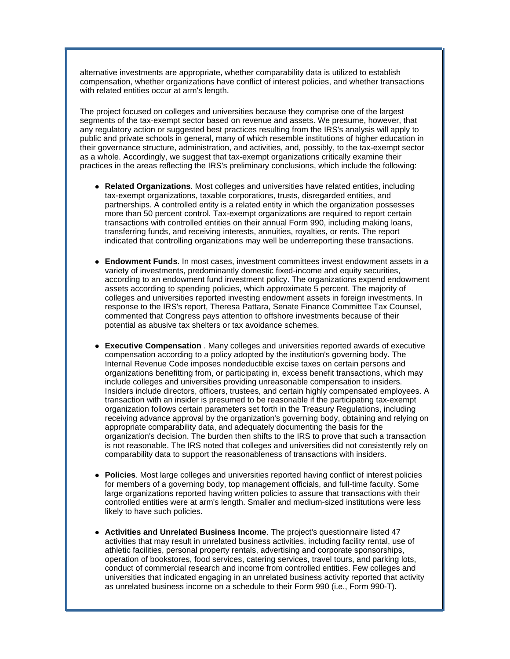alternative investments are appropriate, whether comparability data is utilized to establish compensation, whether organizations have conflict of interest policies, and whether transactions with related entities occur at arm's length.

The project focused on colleges and universities because they comprise one of the largest segments of the tax-exempt sector based on revenue and assets. We presume, however, that any regulatory action or suggested best practices resulting from the IRS's analysis will apply to public and private schools in general, many of which resemble institutions of higher education in their governance structure, administration, and activities, and, possibly, to the tax-exempt sector as a whole. Accordingly, we suggest that tax-exempt organizations critically examine their practices in the areas reflecting the IRS's preliminary conclusions, which include the following:

- **Related Organizations**. Most colleges and universities have related entities, including tax-exempt organizations, taxable corporations, trusts, disregarded entities, and partnerships. A controlled entity is a related entity in which the organization possesses more than 50 percent control. Tax-exempt organizations are required to report certain transactions with controlled entities on their annual Form 990, including making loans, transferring funds, and receiving interests, annuities, royalties, or rents. The report indicated that controlling organizations may well be underreporting these transactions.
- **Endowment Funds**. In most cases, investment committees invest endowment assets in a variety of investments, predominantly domestic fixed-income and equity securities, according to an endowment fund investment policy. The organizations expend endowment assets according to spending policies, which approximate 5 percent. The majority of colleges and universities reported investing endowment assets in foreign investments. In response to the IRS's report, Theresa Pattara, Senate Finance Committee Tax Counsel, commented that Congress pays attention to offshore investments because of their potential as abusive tax shelters or tax avoidance schemes.
- **Executive Compensation** . Many colleges and universities reported awards of executive compensation according to a policy adopted by the institution's governing body. The Internal Revenue Code imposes nondeductible excise taxes on certain persons and organizations benefitting from, or participating in, excess benefit transactions, which may include colleges and universities providing unreasonable compensation to insiders. Insiders include directors, officers, trustees, and certain highly compensated employees. A transaction with an insider is presumed to be reasonable if the participating tax-exempt organization follows certain parameters set forth in the Treasury Regulations, including receiving advance approval by the organization's governing body, obtaining and relying on appropriate comparability data, and adequately documenting the basis for the organization's decision. The burden then shifts to the IRS to prove that such a transaction is not reasonable. The IRS noted that colleges and universities did not consistently rely on comparability data to support the reasonableness of transactions with insiders.
- **Policies**. Most large colleges and universities reported having conflict of interest policies for members of a governing body, top management officials, and full-time faculty. Some large organizations reported having written policies to assure that transactions with their controlled entities were at arm's length. Smaller and medium-sized institutions were less likely to have such policies.
- **Activities and Unrelated Business Income**. The project's questionnaire listed 47 activities that may result in unrelated business activities, including facility rental, use of athletic facilities, personal property rentals, advertising and corporate sponsorships, operation of bookstores, food services, catering services, travel tours, and parking lots, conduct of commercial research and income from controlled entities. Few colleges and universities that indicated engaging in an unrelated business activity reported that activity as unrelated business income on a schedule to their Form 990 (i.e., Form 990-T).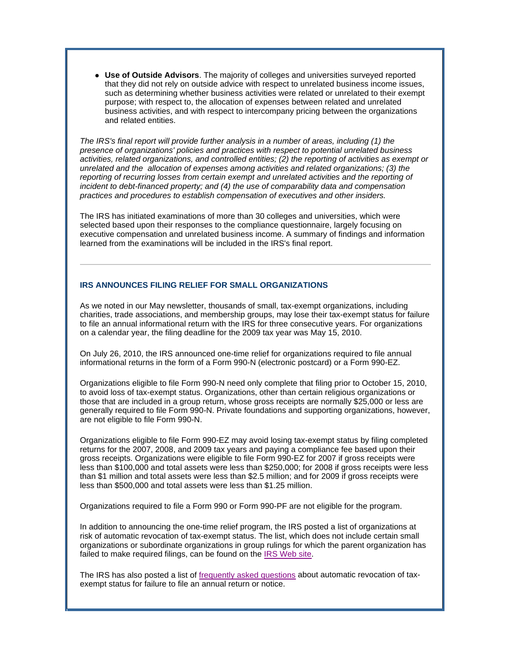**• Use of Outside Advisors**. The majority of colleges and universities surveyed reported that they did not rely on outside advice with respect to unrelated business income issues, such as determining whether business activities were related or unrelated to their exempt purpose; with respect to, the allocation of expenses between related and unrelated business activities, and with respect to intercompany pricing between the organizations and related entities.

*The IRS's final report will provide further analysis in a number of areas, including (1) the presence of organizations' policies and practices with respect to potential unrelated business activities, related organizations, and controlled entities; (2) the reporting of activities as exempt or unrelated and the allocation of expenses among activities and related organizations; (3) the*  reporting of recurring losses from certain exempt and unrelated activities and the reporting of *incident to debt-financed property; and (4) the use of comparability data and compensation practices and procedures to establish compensation of executives and other insiders.*

The IRS has initiated examinations of more than 30 colleges and universities, which were selected based upon their responses to the compliance questionnaire, largely focusing on executive compensation and unrelated business income. A summary of findings and information learned from the examinations will be included in the IRS's final report.

### **IRS ANNOUNCES FILING RELIEF FOR SMALL ORGANIZATIONS**

As we noted in our May newsletter, thousands of small, tax-exempt organizations, including charities, trade associations, and membership groups, may lose their tax-exempt status for failure to file an annual informational return with the IRS for three consecutive years. For organizations on a calendar year, the filing deadline for the 2009 tax year was May 15, 2010.

On July 26, 2010, the IRS announced one-time relief for organizations required to file annual informational returns in the form of a Form 990-N (electronic postcard) or a Form 990-EZ.

Organizations eligible to file Form 990-N need only complete that filing prior to October 15, 2010, to avoid loss of tax-exempt status. Organizations, other than certain religious organizations or those that are included in a group return, whose gross receipts are normally \$25,000 or less are generally required to file Form 990-N. Private foundations and supporting organizations, however, are not eligible to file Form 990-N.

Organizations eligible to file Form 990-EZ may avoid losing tax-exempt status by filing completed returns for the 2007, 2008, and 2009 tax years and paying a compliance fee based upon their gross receipts. Organizations were eligible to file Form 990-EZ for 2007 if gross receipts were less than \$100,000 and total assets were less than \$250,000; for 2008 if gross receipts were less than \$1 million and total assets were less than \$2.5 million; and for 2009 if gross receipts were less than \$500,000 and total assets were less than \$1.25 million.

Organizations required to file a Form 990 or Form 990-PF are not eligible for the program.

In addition to announcing the one-time relief program, the IRS posted a list of organizations at risk of automatic revocation of tax-exempt status. The list, which does not include certain small organizations or subordinate organizations in group rulings for which the parent organization has failed to make required filings, can be found on the IRS Web site.

The IRS has also posted a list of frequently asked questions about automatic revocation of taxexempt status for failure to file an annual return or notice.